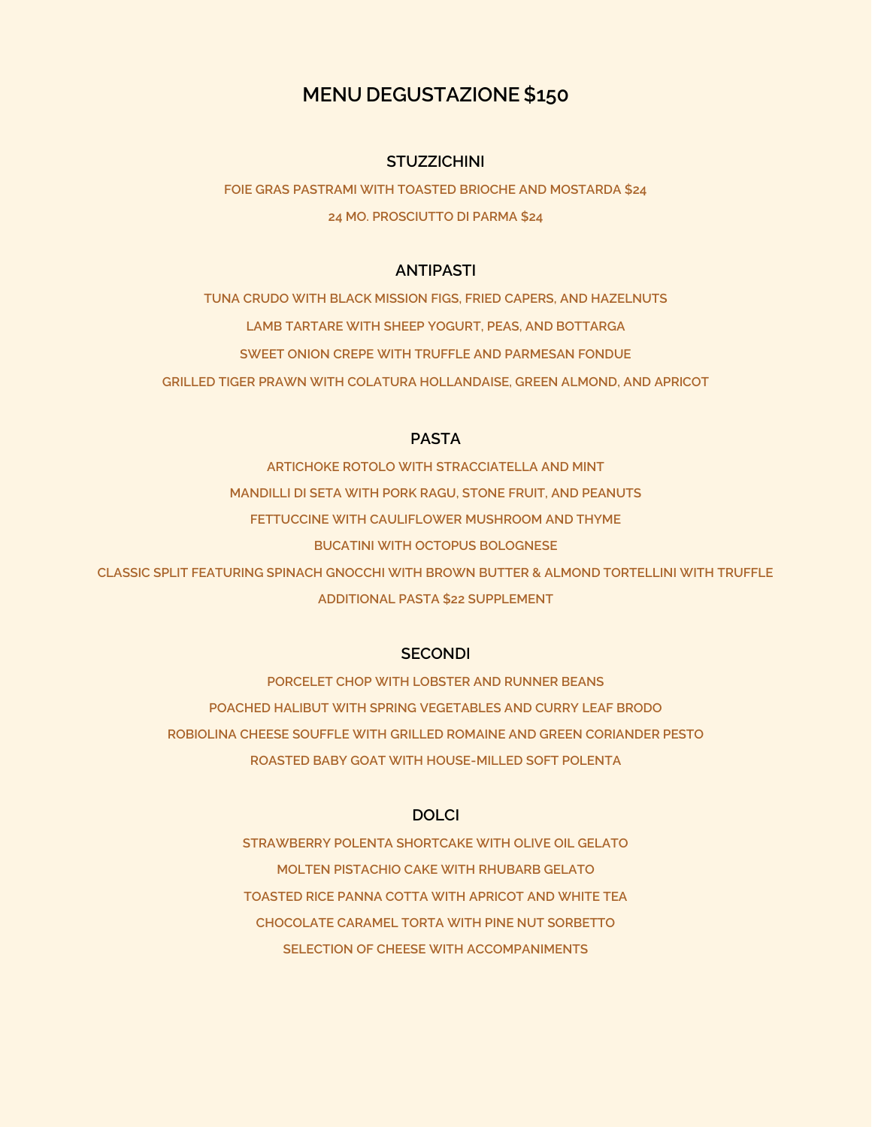# **MENU DEGUSTAZIONE \$150**

### **STUZZICHINI**

**FOIE GRAS PASTRAMI WITH TOASTED BRIOCHE AND MOSTARDA \$24 24 MO. PROSCIUTTO DI PARMA \$24**

### **ANTIPASTI**

**TUNA CRUDO WITH BLACK MISSION FIGS, FRIED CAPERS, AND HAZELNUTS LAMB TARTARE WITH SHEEP YOGURT, PEAS, AND BOTTARGA SWEET ONION CREPE WITH TRUFFLE AND PARMESAN FONDUE GRILLED TIGER PRAWN WITH COLATURA HOLLANDAISE, GREEN ALMOND, AND APRICOT**

## **PASTA**

**ARTICHOKE ROTOLO WITH STRACCIATELLA AND MINT MANDILLI DI SETA WITH PORK RAGU, STONE FRUIT, AND PEANUTS FETTUCCINE WITH CAULIFLOWER MUSHROOM AND THYME BUCATINI WITH OCTOPUS BOLOGNESE CLASSIC SPLIT FEATURING SPINACH GNOCCHI WITH BROWN BUTTER & ALMOND TORTELLINI WITH TRUFFLE ADDITIONAL PASTA \$22 SUPPLEMENT**

### **SECONDI**

**PORCELET CHOP WITH LOBSTER AND RUNNER BEANS POACHED HALIBUT WITH SPRING VEGETABLES AND CURRY LEAF BRODO ROBIOLINA CHEESE SOUFFLE WITH GRILLED ROMAINE AND GREEN CORIANDER PESTO ROASTED BABY GOAT WITH HOUSE-MILLED SOFT POLENTA**

## **DOLCI**

**STRAWBERRY POLENTA SHORTCAKE WITH OLIVE OIL GELATO MOLTEN PISTACHIO CAKE WITH RHUBARB GELATO TOASTED RICE PANNA COTTA WITH APRICOT AND WHITE TEA CHOCOLATE CARAMEL TORTA WITH PINE NUT SORBETTO SELECTION OF CHEESE WITH ACCOMPANIMENTS**